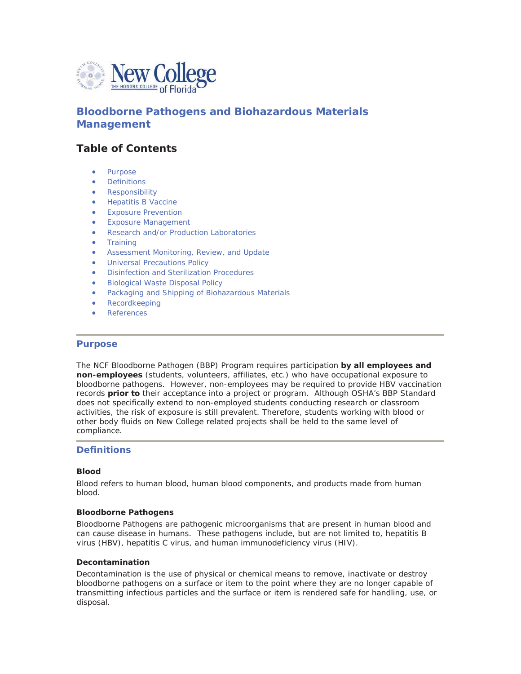

# **Bloodborne Pathogens and Biohazardous Materials Management**

# **Table of Contents**

- Purpose
- **Definitions**
- **Responsibility**
- **Hepatitis B Vaccine**
- **Exposure Prevention**
- x Exposure Management
- Research and/or Production Laboratories
- **Training**
- **•** Assessment Monitoring, Review, and Update
- **Universal Precautions Policy**
- **Disinfection and Sterilization Procedures**
- **Biological Waste Disposal Policy**
- Packaging and Shipping of Biohazardous Materials
- **Recordkeeping**
- **References**

## **Purpose**

The NCF Bloodborne Pathogen (BBP) Program requires participation **by all employees and non-employees** (students, volunteers, affiliates, etc.) who have occupational exposure to bloodborne pathogens. However, non-employees may be required to provide HBV vaccination records **prior to** their acceptance into a project or program. Although OSHA's BBP Standard does not specifically extend to non-employed students conducting research or classroom activities, the risk of exposure is still prevalent. Therefore, students working with blood or other body fluids on New College related projects shall be held to the same level of compliance.

## **Definitions**

#### *Blood*

Blood refers to human blood, human blood components, and products made from human blood.

#### *Bloodborne Pathogens*

Bloodborne Pathogens are pathogenic microorganisms that are present in human blood and can cause disease in humans. These pathogens include, but are not limited to, hepatitis B virus (HBV), hepatitis C virus, and human immunodeficiency virus (HIV).

#### *Decontamination*

Decontamination is the use of physical or chemical means to remove, inactivate or destroy bloodborne pathogens on a surface or item to the point where they are no longer capable of transmitting infectious particles and the surface or item is rendered safe for handling, use, or disposal.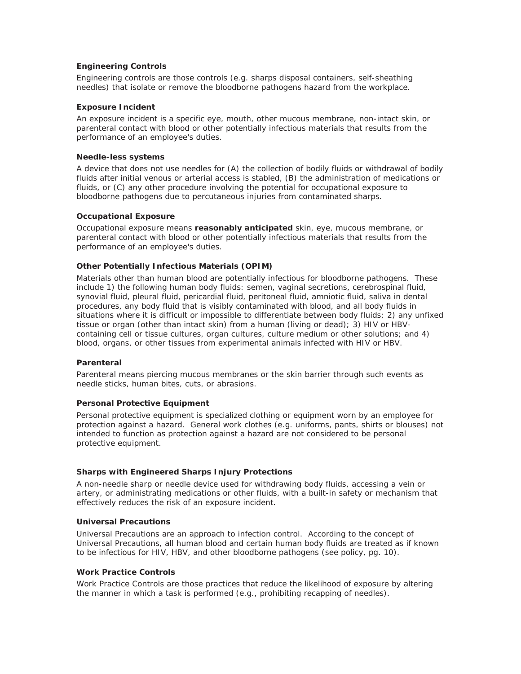## *Engineering Controls*

Engineering controls are those controls (e.g. sharps disposal containers, self-sheathing needles) that isolate or remove the bloodborne pathogens hazard from the workplace.

#### *Exposure Incident*

An exposure incident is a specific eye, mouth, other mucous membrane, non-intact skin, or parenteral contact with blood or other potentially infectious materials that results from the performance of an employee's duties.

#### *Needle-less systems*

A device that does not use needles for (A) the collection of bodily fluids or withdrawal of bodily fluids after initial venous or arterial access is stabled, (B) the administration of medications or fluids, or (C) any other procedure involving the potential for occupational exposure to bloodborne pathogens due to percutaneous injuries from contaminated sharps.

## *Occupational Exposure*

Occupational exposure means **reasonably anticipated** skin, eye, mucous membrane, or parenteral contact with blood or other potentially infectious materials that results from the performance of an employee's duties.

## *Other Potentially Infectious Materials (OPIM)*

Materials other than human blood are potentially infectious for bloodborne pathogens. These include 1) the following human body fluids: semen, vaginal secretions, cerebrospinal fluid, synovial fluid, pleural fluid, pericardial fluid, peritoneal fluid, amniotic fluid, saliva in dental procedures, any body fluid that is visibly contaminated with blood, and all body fluids in situations where it is difficult or impossible to differentiate between body fluids; 2) any unfixed tissue or organ (other than intact skin) from a human (living or dead); 3) HIV or HBVcontaining cell or tissue cultures, organ cultures, culture medium or other solutions; and 4) blood, organs, or other tissues from experimental animals infected with HIV or HBV.

## *Parenteral*

Parenteral means piercing mucous membranes or the skin barrier through such events as needle sticks, human bites, cuts, or abrasions.

## *Personal Protective Equipment*

Personal protective equipment is specialized clothing or equipment worn by an employee for protection against a hazard. General work clothes (e.g. uniforms, pants, shirts or blouses) not intended to function as protection against a hazard are not considered to be personal protective equipment.

#### *Sharps with Engineered Sharps Injury Protections*

A non-needle sharp or needle device used for withdrawing body fluids, accessing a vein or artery, or administrating medications or other fluids, with a built-in safety or mechanism that effectively reduces the risk of an exposure incident.

#### *Universal Precautions*

Universal Precautions are an approach to infection control. According to the concept of Universal Precautions, all human blood and certain human body fluids are treated as if known to be infectious for HIV, HBV, and other bloodborne pathogens (see policy, pg. 10).

#### *Work Practice Controls*

Work Practice Controls are those practices that reduce the likelihood of exposure by altering the manner in which a task is performed (e.g., prohibiting recapping of needles).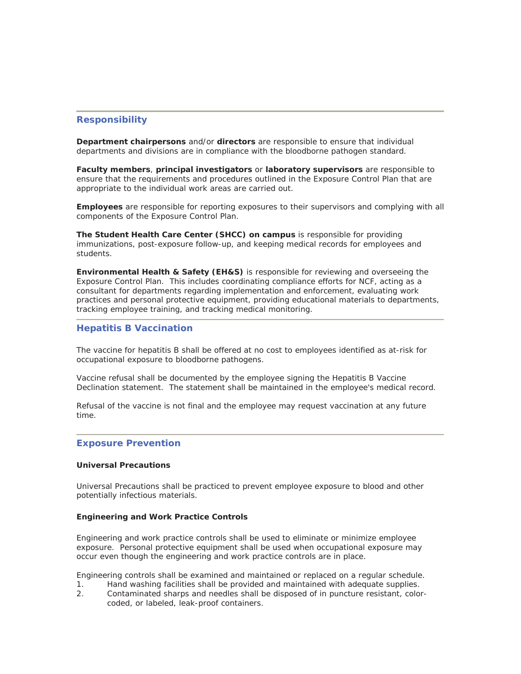## **Responsibility**

**Department chairpersons** and/or **directors** are responsible to ensure that individual departments and divisions are in compliance with the bloodborne pathogen standard.

**Faculty members**, **principal investigators** or **laboratory supervisors** are responsible to ensure that the requirements and procedures outlined in the Exposure Control Plan that are appropriate to the individual work areas are carried out.

**Employees** are responsible for reporting exposures to their supervisors and complying with all components of the Exposure Control Plan.

**The Student Health Care Center (SHCC) on campus** is responsible for providing immunizations, post-exposure follow-up, and keeping medical records for employees and students.

**Environmental Health & Safety (EH&S)** is responsible for reviewing and overseeing the Exposure Control Plan. This includes coordinating compliance efforts for NCF, acting as a consultant for departments regarding implementation and enforcement, evaluating work practices and personal protective equipment, providing educational materials to departments, tracking employee training, and tracking medical monitoring.

## **Hepatitis B Vaccination**

The vaccine for hepatitis B shall be offered at no cost to employees identified as at-risk for occupational exposure to bloodborne pathogens.

Vaccine refusal shall be documented by the employee signing the Hepatitis B Vaccine Declination statement. The statement shall be maintained in the employee's medical record.

Refusal of the vaccine is not final and the employee may request vaccination at any future time.

## **Exposure Prevention**

#### **Universal Precautions**

Universal Precautions shall be practiced to prevent employee exposure to blood and other potentially infectious materials.

#### **Engineering and Work Practice Controls**

Engineering and work practice controls shall be used to eliminate or minimize employee exposure. Personal protective equipment shall be used when occupational exposure may occur even though the engineering and work practice controls are in place.

Engineering controls shall be examined and maintained or replaced on a regular schedule.

- 1. Hand washing facilities shall be provided and maintained with adequate supplies.
- 2. Contaminated sharps and needles shall be disposed of in puncture resistant, colorcoded, or labeled, leak-proof containers.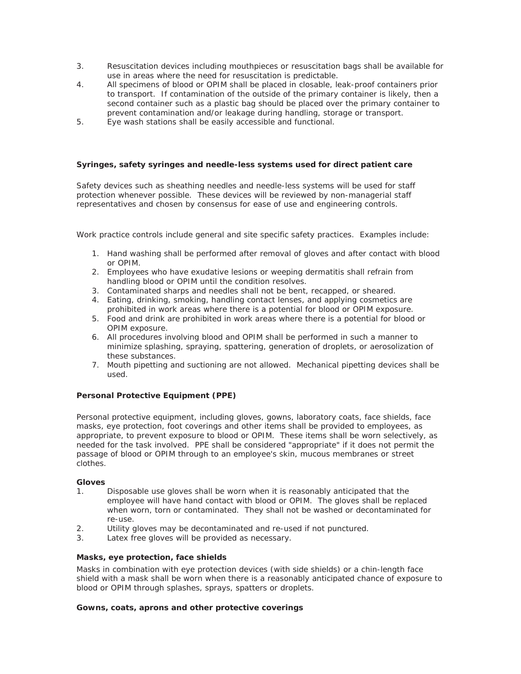- 3. Resuscitation devices including mouthpieces or resuscitation bags shall be available for use in areas where the need for resuscitation is predictable.
- 4. All specimens of blood or OPIM shall be placed in closable, leak-proof containers prior to transport. If contamination of the outside of the primary container is likely, then a second container such as a plastic bag should be placed over the primary container to prevent contamination and/or leakage during handling, storage or transport.
- 5. Eye wash stations shall be easily accessible and functional.

### **Syringes, safety syringes and needle-less systems used for direct patient care**

Safety devices such as sheathing needles and needle-less systems will be used for staff protection whenever possible. These devices will be reviewed by non-managerial staff representatives and chosen by consensus for ease of use and engineering controls.

Work practice controls include general and site specific safety practices. Examples include:

- 1. Hand washing shall be performed after removal of gloves and after contact with blood or OPIM.
- 2. Employees who have exudative lesions or weeping dermatitis shall refrain from handling blood or OPIM until the condition resolves.
- 3. Contaminated sharps and needles shall not be bent, recapped, or sheared.
- 4. Eating, drinking, smoking, handling contact lenses, and applying cosmetics are prohibited in work areas where there is a potential for blood or OPIM exposure.
- 5. Food and drink are prohibited in work areas where there is a potential for blood or OPIM exposure.
- 6. All procedures involving blood and OPIM shall be performed in such a manner to minimize splashing, spraying, spattering, generation of droplets, or aerosolization of these substances.
- 7. Mouth pipetting and suctioning are not allowed. Mechanical pipetting devices shall be used.

## **Personal Protective Equipment (PPE)**

Personal protective equipment, including gloves, gowns, laboratory coats, face shields, face masks, eye protection, foot coverings and other items shall be provided to employees, as appropriate, to prevent exposure to blood or OPIM. These items shall be worn selectively, as needed for the task involved. PPE shall be considered "appropriate" if it does not permit the passage of blood or OPIM through to an employee's skin, mucous membranes or street clothes.

#### **Gloves**

- 1. Disposable use gloves shall be worn when it is reasonably anticipated that the employee will have hand contact with blood or OPIM. The gloves shall be replaced when worn, torn or contaminated. They shall not be washed or decontaminated for re-use.
- 2. Utility gloves may be decontaminated and re-used if not punctured.
- 3. Latex free gloves will be provided as necessary.

#### *Masks, eye protection, face shields*

Masks in combination with eye protection devices (with side shields) or a chin-length face shield with a mask shall be worn when there is a reasonably anticipated chance of exposure to blood or OPIM through splashes, sprays, spatters or droplets.

## *Gowns, coats, aprons and other protective coverings*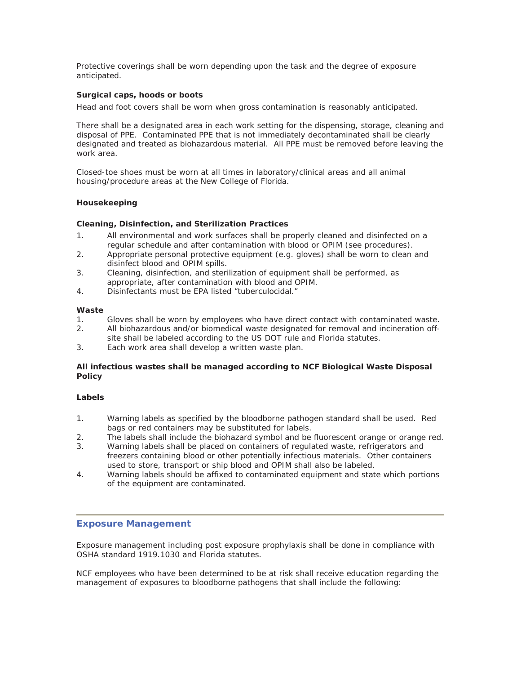Protective coverings shall be worn depending upon the task and the degree of exposure anticipated.

## *Surgical caps, hoods or boots*

Head and foot covers shall be worn when gross contamination is reasonably anticipated.

There shall be a designated area in each work setting for the dispensing, storage, cleaning and disposal of PPE. Contaminated PPE that is not immediately decontaminated shall be clearly designated and treated as biohazardous material. All PPE must be removed before leaving the work area.

Closed-toe shoes must be worn at all times in laboratory/clinical areas and all animal housing/procedure areas at the New College of Florida.

#### **Housekeeping**

#### *Cleaning, Disinfection, and Sterilization Practices*

- 1. All environmental and work surfaces shall be properly cleaned and disinfected on a regular schedule and after contamination with blood or OPIM (see procedures).
- 2. Appropriate personal protective equipment (e.g. gloves) shall be worn to clean and disinfect blood and OPIM spills.
- 3. Cleaning, disinfection, and sterilization of equipment shall be performed, as appropriate, after contamination with blood and OPIM.
- 4. Disinfectants must be EPA listed "tuberculocidal."

#### **Waste**

- 1. Gloves shall be worn by employees who have direct contact with contaminated waste.
- 2. All biohazardous and/or biomedical waste designated for removal and incineration offsite shall be labeled according to the US DOT rule and Florida statutes.
- 
- 3. Each work area shall develop a written waste plan.

## *All infectious wastes shall be managed according to NCF Biological Waste Disposal Policy*

#### **Labels**

- 1. Warning labels as specified by the bloodborne pathogen standard shall be used. Red bags or red containers may be substituted for labels.
- 2. The labels shall include the biohazard symbol and be fluorescent orange or orange red.
- 3. Warning labels shall be placed on containers of regulated waste, refrigerators and freezers containing blood or other potentially infectious materials. Other containers used to store, transport or ship blood and OPIM shall also be labeled.
- 4. Warning labels should be affixed to contaminated equipment and state which portions of the equipment are contaminated.

#### **Exposure Management**

Exposure management including post exposure prophylaxis shall be done in compliance with OSHA standard 1919.1030 and Florida statutes.

NCF employees who have been determined to be at risk shall receive education regarding the management of exposures to bloodborne pathogens that shall include the following: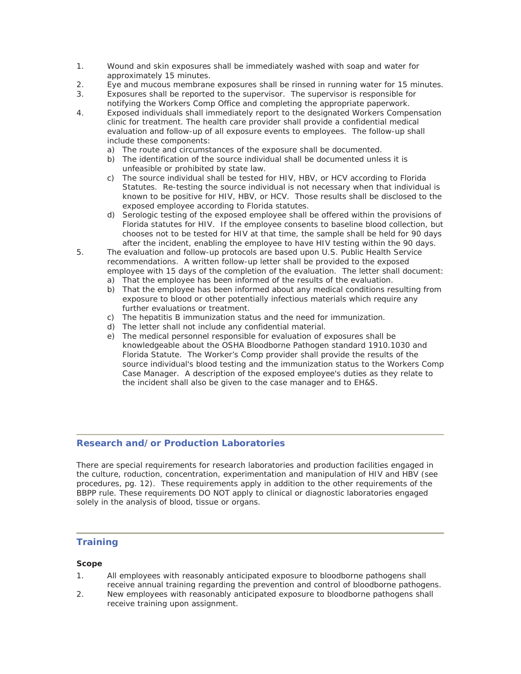- 1. Wound and skin exposures shall be immediately washed with soap and water for approximately 15 minutes.
- 2. Eye and mucous membrane exposures shall be rinsed in running water for 15 minutes.
- 3. Exposures shall be reported to the supervisor. The supervisor is responsible for notifying the Workers Comp Office and completing the appropriate paperwork.
- 4. Exposed individuals shall immediately report to the designated Workers Compensation clinic for treatment. The health care provider shall provide a confidential medical evaluation and follow-up of all exposure events to employees. The follow-up shall include these components:
	- a) The route and circumstances of the exposure shall be documented.
	- b) The identification of the source individual shall be documented unless it is unfeasible or prohibited by state law.
	- c) The source individual shall be tested for HIV, HBV, or HCV according to Florida Statutes. Re-testing the source individual is not necessary when that individual is known to be positive for HIV, HBV, or HCV. Those results shall be disclosed to the exposed employee according to Florida statutes.
	- d) Serologic testing of the exposed employee shall be offered within the provisions of Florida statutes for HIV. If the employee consents to baseline blood collection, but chooses not to be tested for HIV at that time, the sample shall be held for 90 days after the incident, enabling the employee to have HIV testing within the 90 days.
- 5. The evaluation and follow-up protocols are based upon U.S. Public Health Service recommendations. A written follow-up letter shall be provided to the exposed employee with 15 days of the completion of the evaluation. The letter shall document:
	- a) That the employee has been informed of the results of the evaluation.
	- b) That the employee has been informed about any medical conditions resulting from exposure to blood or other potentially infectious materials which require any further evaluations or treatment.
	- c) The hepatitis B immunization status and the need for immunization.
	- d) The letter shall not include any confidential material.
	- e) The medical personnel responsible for evaluation of exposures shall be knowledgeable about the OSHA Bloodborne Pathogen standard 1910.1030 and Florida Statute. The Worker's Comp provider shall provide the results of the source individual's blood testing and the immunization status to the Workers Comp Case Manager. A description of the exposed employee's duties as they relate to the incident shall also be given to the case manager and to EH&S.

## **Research and/or Production Laboratories**

There are special requirements for research laboratories and production facilities engaged in the culture, roduction, concentration, experimentation and manipulation of HIV and HBV (see procedures, pg. 12). These requirements apply in addition to the other requirements of the BBPP rule. These requirements DO NOT apply to clinical or diagnostic laboratories engaged solely in the analysis of blood, tissue or organs.

## **Training**

## *Scope*

- 1. All employees with reasonably anticipated exposure to bloodborne pathogens shall receive annual training regarding the prevention and control of bloodborne pathogens.
- 2. New employees with reasonably anticipated exposure to bloodborne pathogens shall receive training upon assignment.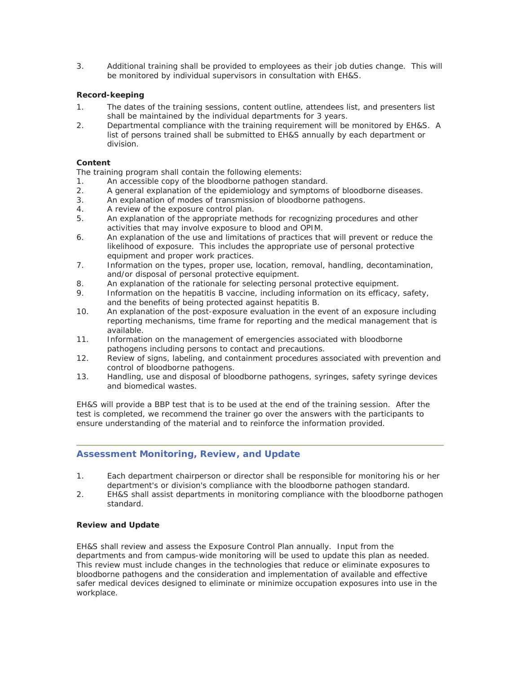3. Additional training shall be provided to employees as their job duties change. This will be monitored by individual supervisors in consultation with EH&S.

## *Record-keeping*

- 1. The dates of the training sessions, content outline, attendees list, and presenters list shall be maintained by the individual departments for 3 years.
- 2. Departmental compliance with the training requirement will be monitored by EH&S. A list of persons trained shall be submitted to EH&S annually by each department or division.

#### **Content**

The training program shall contain the following elements:

- 1. An accessible copy of the bloodborne pathogen standard.
- 2. A general explanation of the epidemiology and symptoms of bloodborne diseases.
- 3. An explanation of modes of transmission of bloodborne pathogens.
- 4. A review of the exposure control plan.
- 5. An explanation of the appropriate methods for recognizing procedures and other activities that may involve exposure to blood and OPIM.
- 6. An explanation of the use and limitations of practices that will prevent or reduce the likelihood of exposure. This includes the appropriate use of personal protective equipment and proper work practices.
- 7. Information on the types, proper use, location, removal, handling, decontamination, and/or disposal of personal protective equipment.
- 8. An explanation of the rationale for selecting personal protective equipment.
- 9. Information on the hepatitis B vaccine, including information on its efficacy, safety, and the benefits of being protected against hepatitis B.
- 10. An explanation of the post-exposure evaluation in the event of an exposure including reporting mechanisms, time frame for reporting and the medical management that is available.
- 11. Information on the management of emergencies associated with bloodborne pathogens including persons to contact and precautions.
- 12. Review of signs, labeling, and containment procedures associated with prevention and control of bloodborne pathogens.
- 13. Handling, use and disposal of bloodborne pathogens, syringes, safety syringe devices and biomedical wastes.

EH&S will provide a BBP test that is to be used at the end of the training session. After the test is completed, we recommend the trainer go over the answers with the participants to ensure understanding of the material and to reinforce the information provided.

## **Assessment Monitoring, Review, and Update**

- 1. Each department chairperson or director shall be responsible for monitoring his or her department's or division's compliance with the bloodborne pathogen standard.
- 2. EH&S shall assist departments in monitoring compliance with the bloodborne pathogen standard.

#### **Review and Update**

EH&S shall review and assess the Exposure Control Plan annually. Input from the departments and from campus-wide monitoring will be used to update this plan as needed. This review must include changes in the technologies that reduce or eliminate exposures to bloodborne pathogens and the consideration and implementation of available and effective safer medical devices designed to eliminate or minimize occupation exposures into use in the workplace.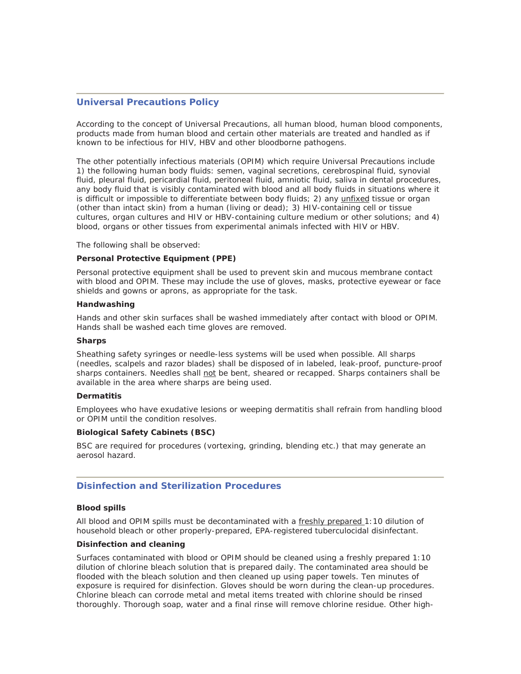## **Universal Precautions Policy**

According to the concept of Universal Precautions, all human blood, human blood components, products made from human blood and certain other materials are treated and handled as if known to be infectious for HIV, HBV and other bloodborne pathogens.

The other potentially infectious materials (OPIM) which require Universal Precautions include 1) the following human body fluids: semen, vaginal secretions, cerebrospinal fluid, synovial fluid, pleural fluid, pericardial fluid, peritoneal fluid, amniotic fluid, saliva in dental procedures, any body fluid that is visibly contaminated with blood and all body fluids in situations where it is difficult or impossible to differentiate between body fluids; 2) any *unfixed* tissue or organ (other than intact skin) from a human (living or dead); 3) HIV-containing cell or tissue cultures, organ cultures and HIV or HBV-containing culture medium or other solutions; and 4) blood, organs or other tissues from experimental animals infected with HIV or HBV.

The following shall be observed:

#### **Personal Protective Equipment (PPE)**

Personal protective equipment shall be used to prevent skin and mucous membrane contact with blood and OPIM. These may include the use of gloves, masks, protective eyewear or face shields and gowns or aprons, as appropriate for the task.

#### **Handwashing**

Hands and other skin surfaces shall be washed immediately after contact with blood or OPIM. Hands shall be washed each time gloves are removed.

#### **Sharps**

Sheathing safety syringes or needle-less systems will be used when possible. All sharps (needles, scalpels and razor blades) shall be disposed of in labeled, leak-proof, puncture-proof sharps containers. Needles shall not be bent, sheared or recapped. Sharps containers shall be available in the area where sharps are being used.

#### **Dermatitis**

Employees who have exudative lesions or weeping dermatitis shall refrain from handling blood or OPIM until the condition resolves.

#### **Biological Safety Cabinets (BSC)**

BSC are required for procedures (vortexing, grinding, blending etc.) that may generate an aerosol hazard.

## **Disinfection and Sterilization Procedures**

#### **Blood spills**

All blood and OPIM spills must be decontaminated with a freshly prepared 1:10 dilution of household bleach or other properly-prepared, EPA-registered tuberculocidal disinfectant.

## **Disinfection and cleaning**

Surfaces contaminated with blood or OPIM should be cleaned using a freshly prepared 1:10 dilution of chlorine bleach solution that is prepared daily. The contaminated area should be flooded with the bleach solution and then cleaned up using paper towels. Ten minutes of exposure is required for disinfection. Gloves should be worn during the clean-up procedures. Chlorine bleach can corrode metal and metal items treated with chlorine should be rinsed thoroughly. Thorough soap, water and a final rinse will remove chlorine residue. Other high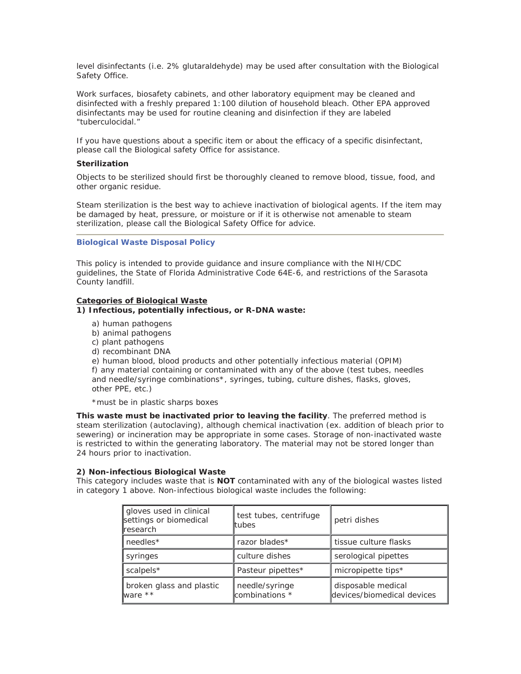level disinfectants (i.e. 2% glutaraldehyde) may be used after consultation with the Biological Safety Office.

Work surfaces, biosafety cabinets, and other laboratory equipment may be cleaned and disinfected with a freshly prepared 1:100 dilution of household bleach. Other EPA approved disinfectants may be used for routine cleaning and disinfection if they are labeled "tuberculocidal."

If you have questions about a specific item or about the efficacy of a specific disinfectant, please call the Biological safety Office for assistance.

#### **Sterilization**

Objects to be sterilized should first be thoroughly cleaned to remove blood, tissue, food, and other organic residue.

Steam sterilization is the best way to achieve inactivation of biological agents. If the item may be damaged by heat, pressure, or moisture or if it is otherwise not amenable to steam sterilization, please call the Biological Safety Office for advice.

#### **Biological Waste Disposal Policy**

This policy is intended to provide guidance and insure compliance with the NIH/CDC guidelines, the State of Florida Administrative Code 64E-6, and restrictions of the Sarasota County landfill.

## **Categories of Biological Waste**

#### **1) Infectious, potentially infectious, or R-DNA waste:**

- a) human pathogens
- b) animal pathogens
- c) plant pathogens
- d) recombinant DNA

e) human blood, blood products and other potentially infectious material (OPIM) f) any material containing or contaminated with any of the above (test tubes, needles and needle/syringe combinations\*, syringes, tubing, culture dishes, flasks, gloves, other PPE, etc.)

\*must be in plastic sharps boxes

**This waste must be inactivated prior to leaving the facility**. The preferred method is steam sterilization (autoclaving), although chemical inactivation (ex. addition of bleach prior to sewering) or incineration may be appropriate in some cases. Storage of non-inactivated waste is restricted to within the generating laboratory. The material may not be stored longer than 24 hours prior to inactivation.

#### **2) Non-infectious Biological Waste**

This category includes waste that is **NOT** contaminated with any of the biological wastes listed in category 1 above. Non-infectious biological waste includes the following:

| gloves used in clinical<br>settings or biomedical<br><b></b> research | test tubes, centrifuge<br>ltubes | petri dishes                                     |
|-----------------------------------------------------------------------|----------------------------------|--------------------------------------------------|
| needles*                                                              | razor blades*                    | tissue culture flasks                            |
| syringes                                                              | culture dishes                   | serological pipettes                             |
| scalpels*                                                             | Pasteur pipettes*                | micropipette tips*                               |
| broken glass and plastic<br>ware **                                   | needle/syringe<br>combinations * | disposable medical<br>devices/biomedical devices |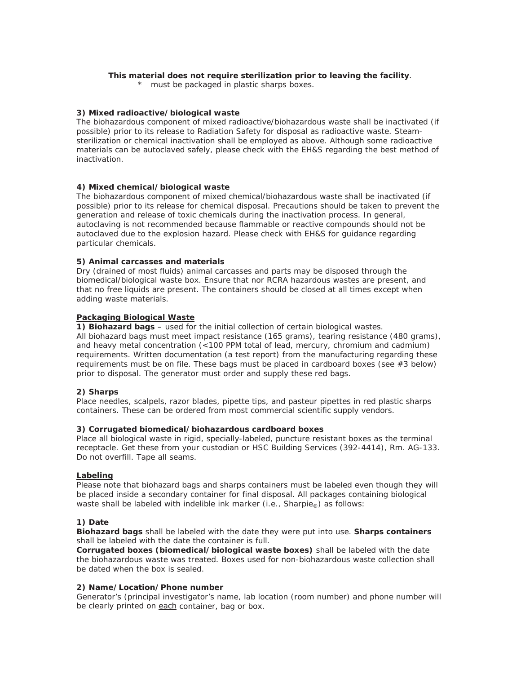#### **This material does not require sterilization prior to leaving the facility**.

\* must be packaged in plastic sharps boxes.

## **3) Mixed radioactive/biological waste**

The biohazardous component of mixed radioactive/biohazardous waste shall be inactivated (if possible) prior to its release to Radiation Safety for disposal as radioactive waste. Steamsterilization or chemical inactivation shall be employed as above. Although some radioactive materials can be autoclaved safely, please check with the EH&S regarding the best method of inactivation.

## **4) Mixed chemical/biological waste**

The biohazardous component of mixed chemical/biohazardous waste shall be inactivated (if possible) prior to its release for chemical disposal. Precautions should be taken to prevent the generation and release of toxic chemicals during the inactivation process. In general, autoclaving is not recommended because flammable or reactive compounds should not be autoclaved due to the explosion hazard. Please check with EH&S for guidance regarding particular chemicals.

## **5) Animal carcasses and materials**

Dry (drained of most fluids) animal carcasses and parts may be disposed through the biomedical/biological waste box. Ensure that nor RCRA hazardous wastes are present, and that no free liquids are present. The containers should be closed at all times except when adding waste materials.

## **Packaging Biological Waste**

**1) Biohazard bags** – used for the initial collection of certain biological wastes. All biohazard bags must meet impact resistance (165 grams), tearing resistance (480 grams), and heavy metal concentration (<100 PPM total of lead, mercury, chromium and cadmium) requirements. Written documentation (a test report) from the manufacturing regarding these requirements must be on file. These bags must be placed in cardboard boxes (see #3 below) prior to disposal. The generator must order and supply these red bags.

## **2) Sharps**

Place needles, scalpels, razor blades, pipette tips, and pasteur pipettes in red plastic sharps containers. These can be ordered from most commercial scientific supply vendors.

#### **3) Corrugated biomedical/biohazardous cardboard boxes**

Place all biological waste in rigid, specially-labeled, puncture resistant boxes as the terminal receptacle. Get these from your custodian or HSC Building Services (392-4414), Rm. AG-133. Do not overfill. Tape all seams.

#### **Labeling**

Please note that biohazard bags and sharps containers must be labeled even though they will be placed inside a secondary container for final disposal. All packages containing biological waste shall be labeled with indelible ink marker (i.e., Sharpie<sub>®</sub>) as follows:

#### **1) Date**

**Biohazard bags** shall be labeled with the date they were put into use. **Sharps containers** shall be labeled with the date the container is full.

**Corrugated boxes (biomedical/biological waste boxes)** shall be labeled with the date the biohazardous waste was treated. Boxes used for non-biohazardous waste collection shall be dated when the box is sealed.

## **2) Name/Location/Phone number**

Generator's (principal investigator's name, lab location (room number) and phone number will be clearly printed on each container, bag or box.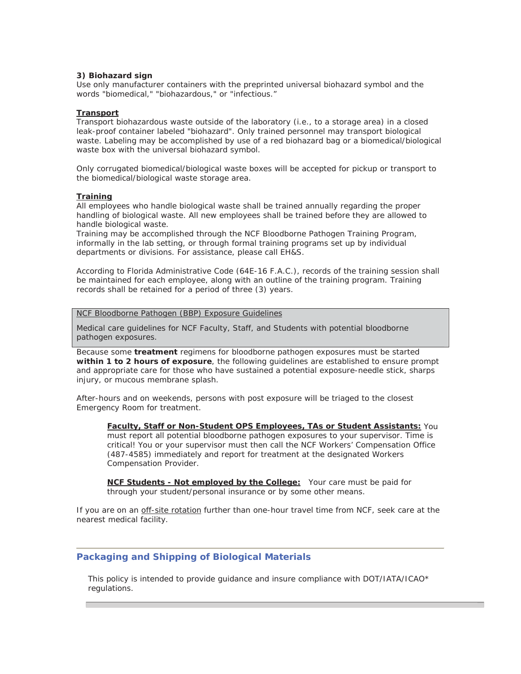#### **3) Biohazard sign**

Use only manufacturer containers with the preprinted universal biohazard symbol and the words "biomedical," "biohazardous," or "infectious."

#### **Transport**

Transport biohazardous waste outside of the laboratory (i.e., to a storage area) in a closed leak-proof container labeled "biohazard". Only trained personnel may transport biological waste. Labeling may be accomplished by use of a red biohazard bag or a biomedical/biological waste box with the universal biohazard symbol.

Only corrugated biomedical/biological waste boxes will be accepted for pickup or transport to the biomedical/biological waste storage area.

## **Training**

All employees who handle biological waste shall be trained annually regarding the proper handling of biological waste. All new employees shall be trained before they are allowed to handle biological waste.

Training may be accomplished through the NCF Bloodborne Pathogen Training Program, informally in the lab setting, or through formal training programs set up by individual departments or divisions. For assistance, please call EH&S.

According to Florida Administrative Code (64E-16 F.A.C.), records of the training session shall be maintained for each employee, along with an outline of the training program. Training records shall be retained for a period of three (3) years.

NCF Bloodborne Pathogen (BBP) Exposure Guidelines

Medical care guidelines for NCF Faculty, Staff, and Students with potential bloodborne pathogen exposures.

Because some **treatment** regimens for bloodborne pathogen exposures must be started **within 1 to 2 hours of exposure**, the following guidelines are established to ensure prompt and appropriate care for those who have sustained a potential exposure-needle stick, sharps injury, or mucous membrane splash.

After-hours and on weekends, persons with post exposure will be triaged to the closest Emergency Room for treatment.

**Faculty, Staff or Non-Student OPS Employees, TAs or Student Assistants:** You must report all potential bloodborne pathogen exposures to your supervisor. Time is critical! You or your supervisor must then call the NCF Workers' Compensation Office (487-4585) immediately and report for treatment at the designated Workers Compensation Provider.

**NCF Students - Not employed by the College:** Your care must be paid for through your student/personal insurance or by some other means.

If you are on an off-site rotation further than one-hour travel time from NCF, seek care at the nearest medical facility.

## **Packaging and Shipping of Biological Materials**

This policy is intended to provide guidance and insure compliance with DOT/IATA/ICAO\* regulations.